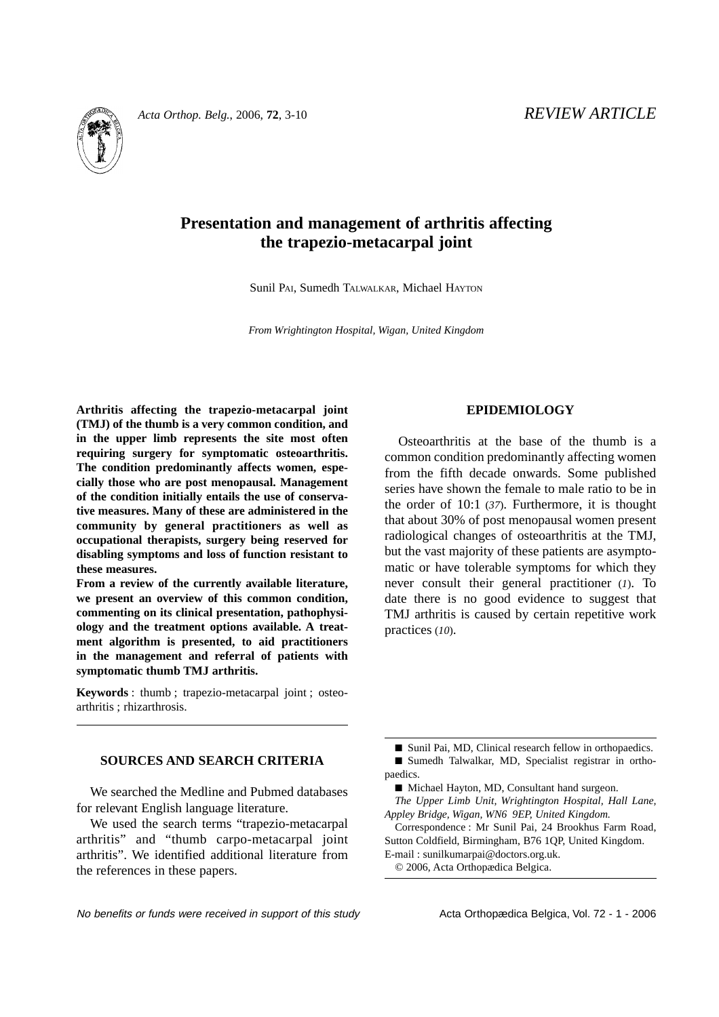

# **Presentation and management of arthritis affecting the trapezio-metacarpal joint**

Sunil PAI, Sumedh TALWALKAR, Michael HAYTON

*From Wrightington Hospital, Wigan, United Kingdom*

**Arthritis affecting the trapezio-metacarpal joint (TMJ) of the thumb is a very common condition, and in the upper limb represents the site most often requiring surgery for symptomatic osteoarthritis. The condition predominantly affects women, especially those who are post menopausal. Management of the condition initially entails the use of conservative measures. Many of these are administered in the community by general practitioners as well as occupational therapists, surgery being reserved for disabling symptoms and loss of function resistant to these measures.** 

**From a review of the currently available literature, we present an overview of this common condition, commenting on its clinical presentation, pathophysiology and the treatment options available. A treatment algorithm is presented, to aid practitioners in the management and referral of patients with symptomatic thumb TMJ arthritis.**

**Keywords** : thumb ; trapezio-metacarpal joint ; osteoarthritis ; rhizarthrosis.

# **SOURCES AND SEARCH CRITERIA**

We searched the Medline and Pubmed databases for relevant English language literature.

We used the search terms "trapezio-metacarpal arthritis" and "thumb carpo-metacarpal joint arthritis". We identified additional literature from the references in these papers.

# **EPIDEMIOLOGY**

Osteoarthritis at the base of the thumb is a common condition predominantly affecting women from the fifth decade onwards. Some published series have shown the female to male ratio to be in the order of 10:1 (*37*). Furthermore, it is thought that about 30% of post menopausal women present radiological changes of osteoarthritis at the TMJ, but the vast majority of these patients are asymptomatic or have tolerable symptoms for which they never consult their general practitioner (*1*). To date there is no good evidence to suggest that TMJ arthritis is caused by certain repetitive work practices (*10*).

■ Sunil Pai, MD, Clinical research fellow in orthopaedics. ■ Sumedh Talwalkar, MD, Specialist registrar in orthopaedics.

■ Michael Hayton, MD, Consultant hand surgeon.

*The Upper Limb Unit, Wrightington Hospital, Hall Lane, Appley Bridge, Wigan, WN6 9EP, United Kingdom.*

Correspondence : Mr Sunil Pai, 24 Brookhus Farm Road, Sutton Coldfield, Birmingham, B76 1QP, United Kingdom. E-mail : sunilkumarpai@doctors.org.uk.

© 2006, Acta Orthopædica Belgica.

No benefits or funds were received in support of this study example Acta Orthopædica Belgica, Vol. 72 - 1 - 2006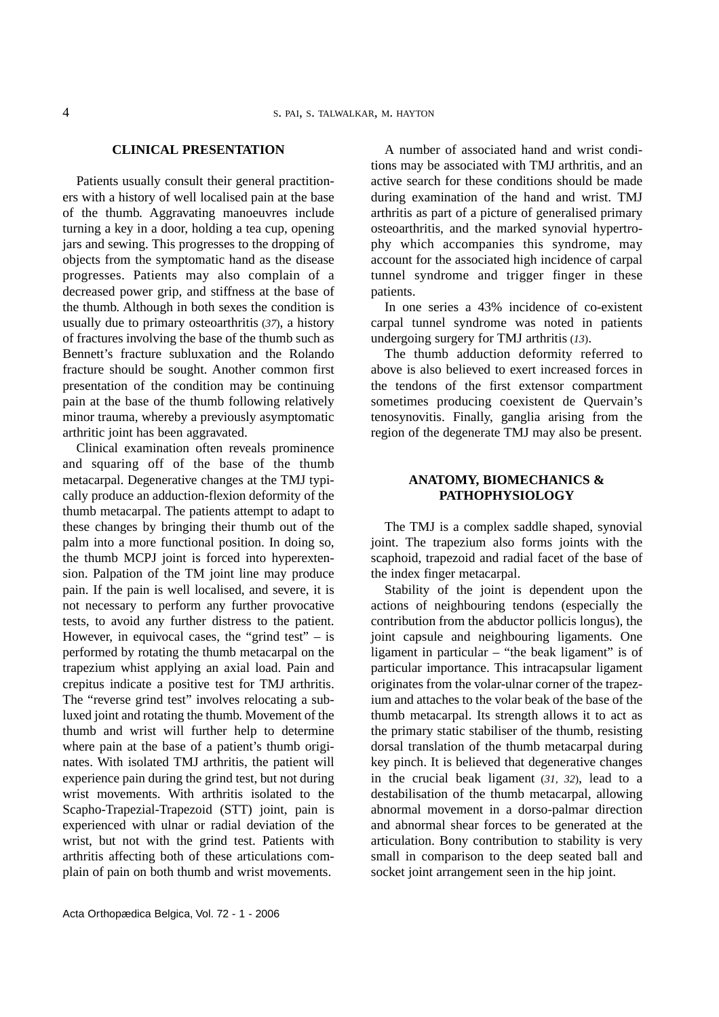#### **CLINICAL PRESENTATION**

Patients usually consult their general practitioners with a history of well localised pain at the base of the thumb. Aggravating manoeuvres include turning a key in a door, holding a tea cup, opening jars and sewing. This progresses to the dropping of objects from the symptomatic hand as the disease progresses. Patients may also complain of a decreased power grip, and stiffness at the base of the thumb. Although in both sexes the condition is usually due to primary osteoarthritis (*37*), a history of fractures involving the base of the thumb such as Bennett's fracture subluxation and the Rolando fracture should be sought. Another common first presentation of the condition may be continuing pain at the base of the thumb following relatively minor trauma, whereby a previously asymptomatic arthritic joint has been aggravated.

Clinical examination often reveals prominence and squaring off of the base of the thumb metacarpal. Degenerative changes at the TMJ typically produce an adduction-flexion deformity of the thumb metacarpal. The patients attempt to adapt to these changes by bringing their thumb out of the palm into a more functional position. In doing so, the thumb MCPJ joint is forced into hyperextension. Palpation of the TM joint line may produce pain. If the pain is well localised, and severe, it is not necessary to perform any further provocative tests, to avoid any further distress to the patient. However, in equivocal cases, the "grind test"  $-$  is performed by rotating the thumb metacarpal on the trapezium whist applying an axial load. Pain and crepitus indicate a positive test for TMJ arthritis. The "reverse grind test" involves relocating a subluxed joint and rotating the thumb. Movement of the thumb and wrist will further help to determine where pain at the base of a patient's thumb originates. With isolated TMJ arthritis, the patient will experience pain during the grind test, but not during wrist movements. With arthritis isolated to the Scapho-Trapezial-Trapezoid (STT) joint, pain is experienced with ulnar or radial deviation of the wrist, but not with the grind test. Patients with arthritis affecting both of these articulations complain of pain on both thumb and wrist movements.

A number of associated hand and wrist conditions may be associated with TMJ arthritis, and an active search for these conditions should be made during examination of the hand and wrist. TMJ arthritis as part of a picture of generalised primary osteoarthritis, and the marked synovial hypertrophy which accompanies this syndrome, may account for the associated high incidence of carpal tunnel syndrome and trigger finger in these patients.

In one series a 43% incidence of co-existent carpal tunnel syndrome was noted in patients undergoing surgery for TMJ arthritis (*13*).

The thumb adduction deformity referred to above is also believed to exert increased forces in the tendons of the first extensor compartment sometimes producing coexistent de Quervain's tenosynovitis. Finally, ganglia arising from the region of the degenerate TMJ may also be present.

# **ANATOMY, BIOMECHANICS & PATHOPHYSIOLOGY**

The TMJ is a complex saddle shaped, synovial joint. The trapezium also forms joints with the scaphoid, trapezoid and radial facet of the base of the index finger metacarpal.

Stability of the joint is dependent upon the actions of neighbouring tendons (especially the contribution from the abductor pollicis longus), the joint capsule and neighbouring ligaments. One ligament in particular – "the beak ligament" is of particular importance. This intracapsular ligament originates from the volar-ulnar corner of the trapezium and attaches to the volar beak of the base of the thumb metacarpal. Its strength allows it to act as the primary static stabiliser of the thumb, resisting dorsal translation of the thumb metacarpal during key pinch. It is believed that degenerative changes in the crucial beak ligament (*31, 32*), lead to a destabilisation of the thumb metacarpal, allowing abnormal movement in a dorso-palmar direction and abnormal shear forces to be generated at the articulation. Bony contribution to stability is very small in comparison to the deep seated ball and socket joint arrangement seen in the hip joint.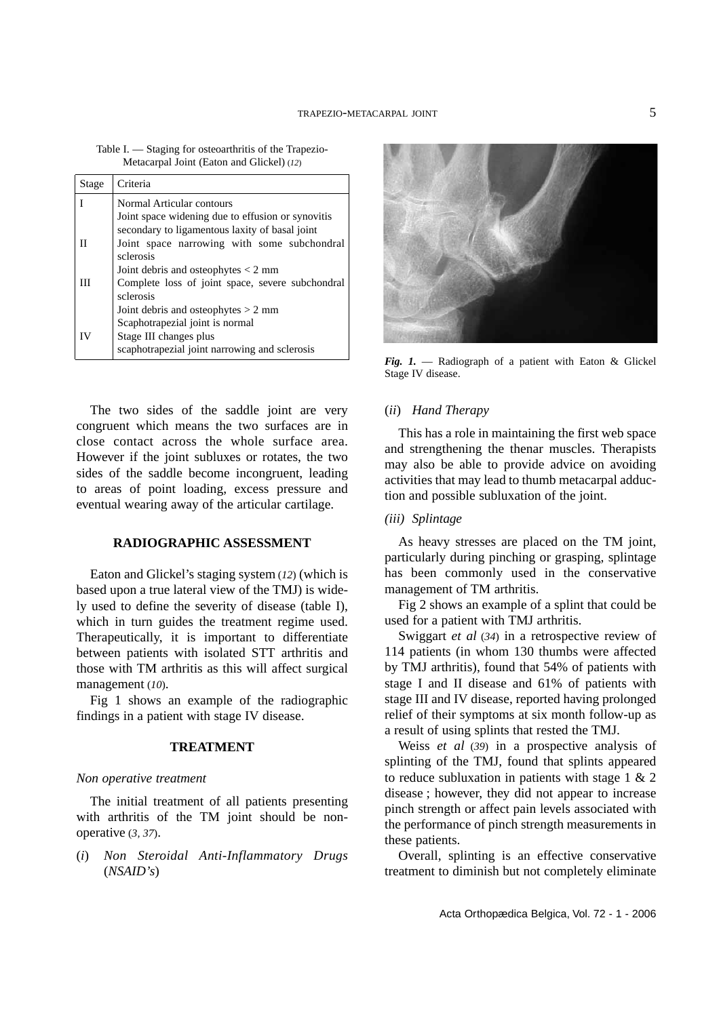| Table I. — Staging for osteoarthritis of the Trapezio- |  |
|--------------------------------------------------------|--|
| Metacarpal Joint (Eaton and Glickel) (12)              |  |

| Joint space narrowing with some subchondral      |
|--------------------------------------------------|
|                                                  |
| Complete loss of joint space, severe subchondral |
|                                                  |
|                                                  |
|                                                  |
|                                                  |
|                                                  |

The two sides of the saddle joint are very congruent which means the two surfaces are in close contact across the whole surface area. However if the joint subluxes or rotates, the two sides of the saddle become incongruent, leading to areas of point loading, excess pressure and eventual wearing away of the articular cartilage.

#### **RADIOGRAPHIC ASSESSMENT**

Eaton and Glickel's staging system (*12*) (which is based upon a true lateral view of the TMJ) is widely used to define the severity of disease (table I), which in turn guides the treatment regime used. Therapeutically, it is important to differentiate between patients with isolated STT arthritis and those with TM arthritis as this will affect surgical management (*10*).

Fig 1 shows an example of the radiographic findings in a patient with stage IV disease.

# **TREATMENT**

#### *Non operative treatment*

The initial treatment of all patients presenting with arthritis of the TM joint should be nonoperative (*3, 37*).

(*i*) *Non Steroidal Anti-Inflammatory Drugs* (*NSAID's*)



*Fig. 1.* — Radiograph of a patient with Eaton & Glickel Stage IV disease.

#### (*ii*) *Hand Therapy*

This has a role in maintaining the first web space and strengthening the thenar muscles. Therapists may also be able to provide advice on avoiding activities that may lead to thumb metacarpal adduction and possible subluxation of the joint.

#### *(iii) Splintage*

As heavy stresses are placed on the TM joint, particularly during pinching or grasping, splintage has been commonly used in the conservative management of TM arthritis.

Fig 2 shows an example of a splint that could be used for a patient with TMJ arthritis.

Swiggart *et al* (*34*) in a retrospective review of 114 patients (in whom 130 thumbs were affected by TMJ arthritis), found that 54% of patients with stage I and II disease and 61% of patients with stage III and IV disease, reported having prolonged relief of their symptoms at six month follow-up as a result of using splints that rested the TMJ.

Weiss *et al* (*39*) in a prospective analysis of splinting of the TMJ, found that splints appeared to reduce subluxation in patients with stage 1 & 2 disease ; however, they did not appear to increase pinch strength or affect pain levels associated with the performance of pinch strength measurements in these patients.

Overall, splinting is an effective conservative treatment to diminish but not completely eliminate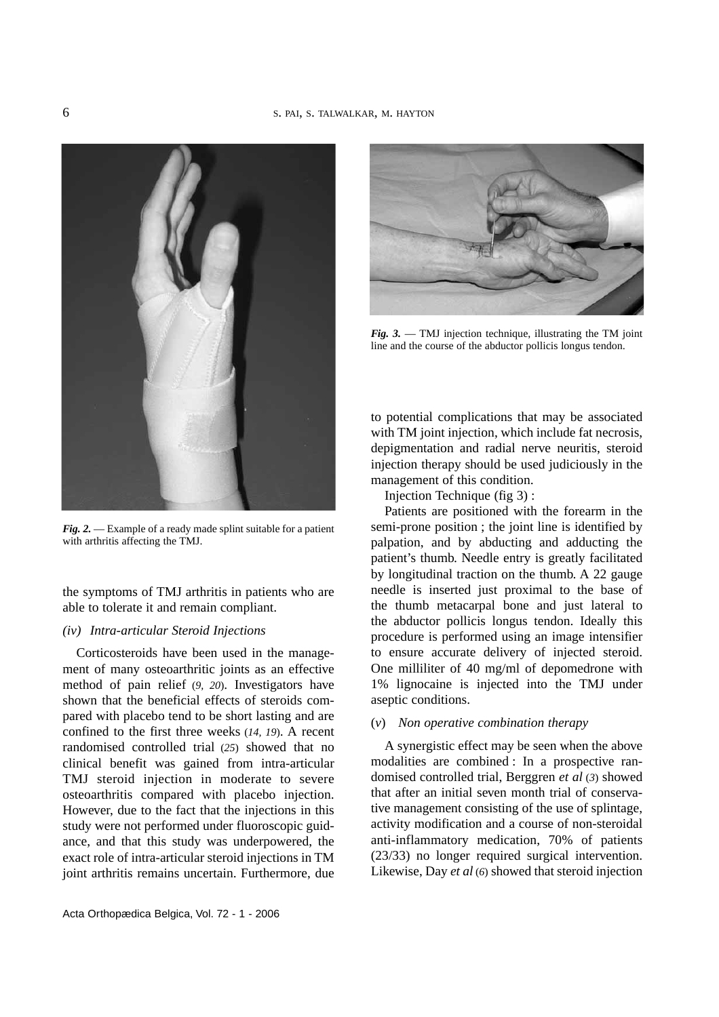

*Fig. 2.* — Example of a ready made splint suitable for a patient with arthritis affecting the TMJ.

the symptoms of TMJ arthritis in patients who are able to tolerate it and remain compliant.

#### *(iv) Intra-articular Steroid Injections*

Corticosteroids have been used in the management of many osteoarthritic joints as an effective method of pain relief (*9, 20*). Investigators have shown that the beneficial effects of steroids compared with placebo tend to be short lasting and are confined to the first three weeks (*14, 19*). A recent randomised controlled trial (*25*) showed that no clinical benefit was gained from intra-articular TMJ steroid injection in moderate to severe osteoarthritis compared with placebo injection. However, due to the fact that the injections in this study were not performed under fluoroscopic guidance, and that this study was underpowered, the exact role of intra-articular steroid injections in TM joint arthritis remains uncertain. Furthermore, due



*Fig. 3.* — TMJ injection technique, illustrating the TM joint line and the course of the abductor pollicis longus tendon.

to potential complications that may be associated with TM joint injection, which include fat necrosis, depigmentation and radial nerve neuritis, steroid injection therapy should be used judiciously in the management of this condition.

Injection Technique (fig 3) :

Patients are positioned with the forearm in the semi-prone position ; the joint line is identified by palpation, and by abducting and adducting the patient's thumb. Needle entry is greatly facilitated by longitudinal traction on the thumb. A 22 gauge needle is inserted just proximal to the base of the thumb metacarpal bone and just lateral to the abductor pollicis longus tendon. Ideally this procedure is performed using an image intensifier to ensure accurate delivery of injected steroid. One milliliter of 40 mg/ml of depomedrone with 1% lignocaine is injected into the TMJ under aseptic conditions.

#### (*v*) *Non operative combination therapy*

A synergistic effect may be seen when the above modalities are combined : In a prospective randomised controlled trial, Berggren *et al* (*3*) showed that after an initial seven month trial of conservative management consisting of the use of splintage, activity modification and a course of non-steroidal anti-inflammatory medication, 70% of patients (23/33) no longer required surgical intervention. Likewise, Day *et al* (*6*) showed that steroid injection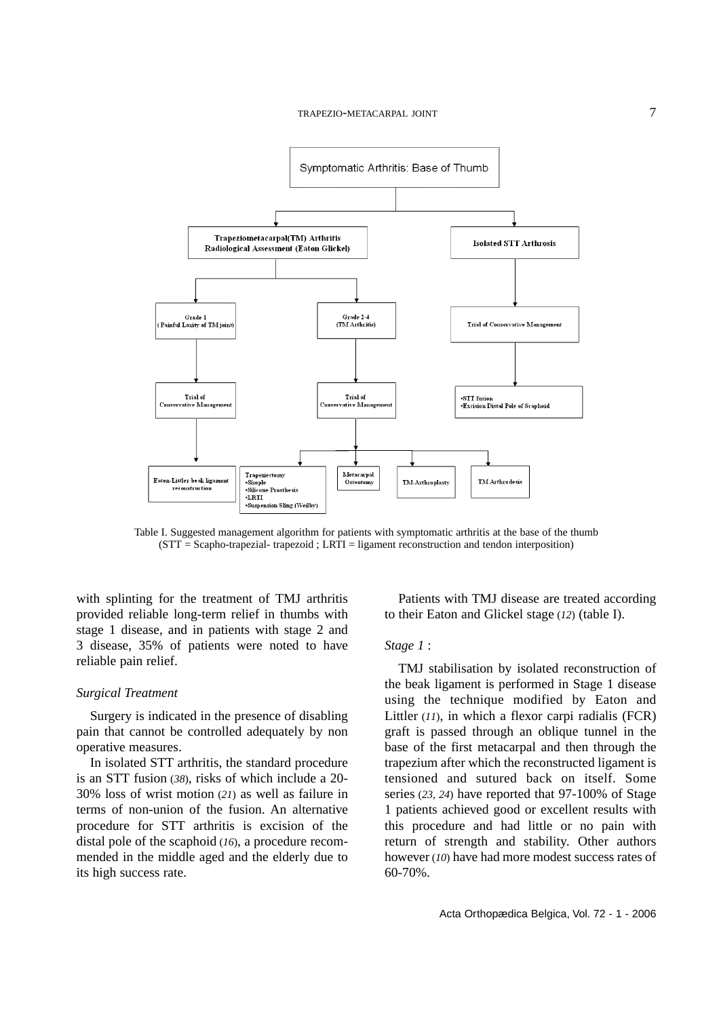

Table I. Suggested management algorithm for patients with symptomatic arthritis at the base of the thumb (STT = Scapho-trapezial- trapezoid ; LRTI = ligament reconstruction and tendon interposition)

with splinting for the treatment of TMJ arthritis provided reliable long-term relief in thumbs with stage 1 disease, and in patients with stage 2 and 3 disease, 35% of patients were noted to have reliable pain relief.

#### *Surgical Treatment*

Surgery is indicated in the presence of disabling pain that cannot be controlled adequately by non operative measures.

In isolated STT arthritis, the standard procedure is an STT fusion (*38*), risks of which include a 20- 30% loss of wrist motion (*21*) as well as failure in terms of non-union of the fusion. An alternative procedure for STT arthritis is excision of the distal pole of the scaphoid (*16*), a procedure recommended in the middle aged and the elderly due to its high success rate.

Patients with TMJ disease are treated according to their Eaton and Glickel stage (*12*) (table I).

#### *Stage 1* :

TMJ stabilisation by isolated reconstruction of the beak ligament is performed in Stage 1 disease using the technique modified by Eaton and Littler (*11*), in which a flexor carpi radialis (FCR) graft is passed through an oblique tunnel in the base of the first metacarpal and then through the trapezium after which the reconstructed ligament is tensioned and sutured back on itself. Some series (*23, 24*) have reported that 97-100% of Stage 1 patients achieved good or excellent results with this procedure and had little or no pain with return of strength and stability. Other authors however (*10*) have had more modest success rates of 60-70%.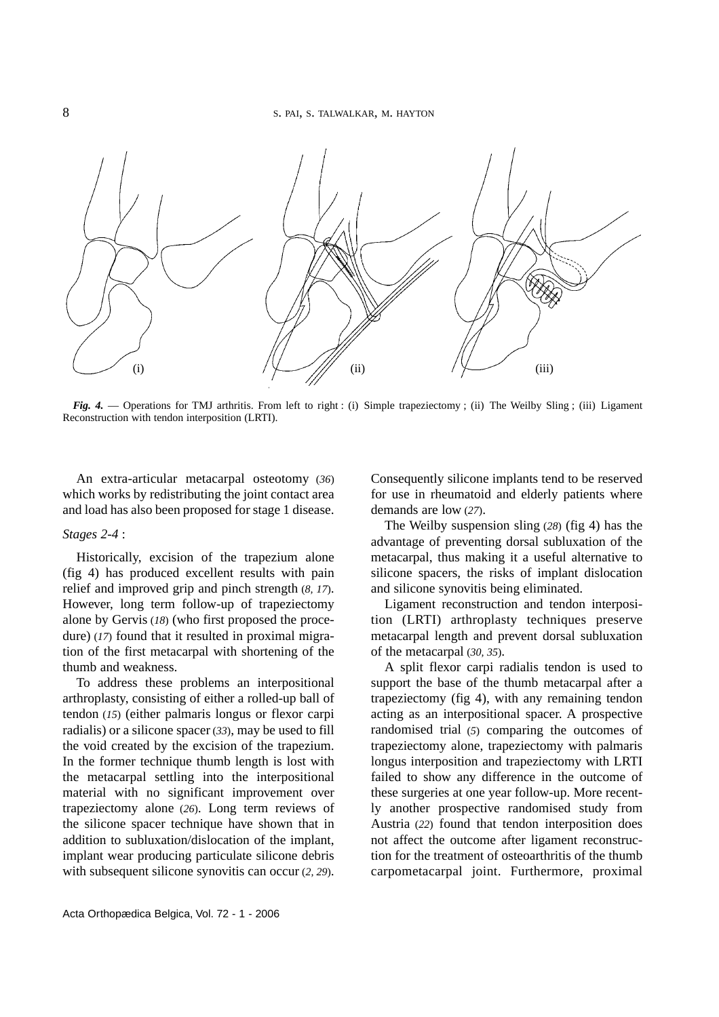

*Fig. 4.* — Operations for TMJ arthritis. From left to right: (i) Simple trapeziectomy; (ii) The Weilby Sling; (iii) Ligament Reconstruction with tendon interposition (LRTI).

An extra-articular metacarpal osteotomy (*36*) which works by redistributing the joint contact area and load has also been proposed for stage 1 disease.

### *Stages 2-4* :

Historically, excision of the trapezium alone (fig 4) has produced excellent results with pain relief and improved grip and pinch strength (*8, 17*). However, long term follow-up of trapeziectomy alone by Gervis (*18*) (who first proposed the procedure) (17) found that it resulted in proximal migration of the first metacarpal with shortening of the thumb and weakness.

To address these problems an interpositional arthroplasty, consisting of either a rolled-up ball of tendon (*15*) (either palmaris longus or flexor carpi radialis) or a silicone spacer (*33*), may be used to fill the void created by the excision of the trapezium. In the former technique thumb length is lost with the metacarpal settling into the interpositional material with no significant improvement over trapeziectomy alone (*26*). Long term reviews of the silicone spacer technique have shown that in addition to subluxation/dislocation of the implant, implant wear producing particulate silicone debris with subsequent silicone synovitis can occur (*2, 29*). Consequently silicone implants tend to be reserved for use in rheumatoid and elderly patients where demands are low (*27*).

The Weilby suspension sling (*28*) (fig 4) has the advantage of preventing dorsal subluxation of the metacarpal, thus making it a useful alternative to silicone spacers, the risks of implant dislocation and silicone synovitis being eliminated.

Ligament reconstruction and tendon interposition (LRTI) arthroplasty techniques preserve metacarpal length and prevent dorsal subluxation of the metacarpal (*30, 35*).

A split flexor carpi radialis tendon is used to support the base of the thumb metacarpal after a trapeziectomy (fig 4), with any remaining tendon acting as an interpositional spacer. A prospective randomised trial (*5*) comparing the outcomes of trapeziectomy alone, trapeziectomy with palmaris longus interposition and trapeziectomy with LRTI failed to show any difference in the outcome of these surgeries at one year follow-up. More recently another prospective randomised study from Austria (*22*) found that tendon interposition does not affect the outcome after ligament reconstruction for the treatment of osteoarthritis of the thumb carpometacarpal joint. Furthermore, proximal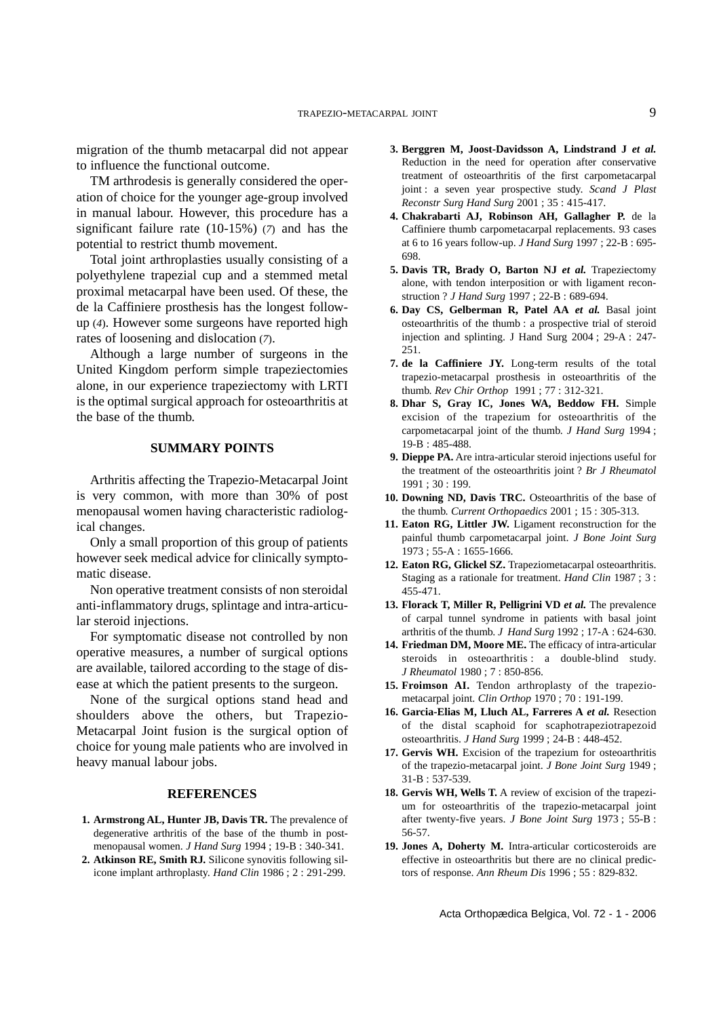migration of the thumb metacarpal did not appear to influence the functional outcome.

TM arthrodesis is generally considered the operation of choice for the younger age-group involved in manual labour. However, this procedure has a significant failure rate (10-15%) (*7*) and has the potential to restrict thumb movement.

Total joint arthroplasties usually consisting of a polyethylene trapezial cup and a stemmed metal proximal metacarpal have been used. Of these, the de la Caffiniere prosthesis has the longest followup (*4*). However some surgeons have reported high rates of loosening and dislocation (*7*).

Although a large number of surgeons in the United Kingdom perform simple trapeziectomies alone, in our experience trapeziectomy with LRTI is the optimal surgical approach for osteoarthritis at the base of the thumb.

# **SUMMARY POINTS**

Arthritis affecting the Trapezio-Metacarpal Joint is very common, with more than 30% of post menopausal women having characteristic radiological changes.

Only a small proportion of this group of patients however seek medical advice for clinically symptomatic disease.

Non operative treatment consists of non steroidal anti-inflammatory drugs, splintage and intra-articular steroid injections.

For symptomatic disease not controlled by non operative measures, a number of surgical options are available, tailored according to the stage of disease at which the patient presents to the surgeon.

None of the surgical options stand head and shoulders above the others, but Trapezio-Metacarpal Joint fusion is the surgical option of choice for young male patients who are involved in heavy manual labour jobs.

#### **REFERENCES**

- **1. Armstrong AL, Hunter JB, Davis TR.** The prevalence of degenerative arthritis of the base of the thumb in postmenopausal women. *J Hand Surg* 1994 ; 19-B : 340-341.
- **2. Atkinson RE, Smith RJ.** Silicone synovitis following silicone implant arthroplasty. *Hand Clin* 1986 ; 2 : 291-299.
- **3. Berggren M, Joost-Davidsson A, Lindstrand J** *et al.* Reduction in the need for operation after conservative treatment of osteoarthritis of the first carpometacarpal joint : a seven year prospective study. *Scand J Plast Reconstr Surg Hand Surg* 2001 ; 35 : 415-417.
- **4. Chakrabarti AJ, Robinson AH, Gallagher P.** de la Caffiniere thumb carpometacarpal replacements. 93 cases at 6 to 16 years follow-up. *J Hand Surg* 1997 ; 22-B : 695- 698.
- **5. Davis TR, Brady O, Barton NJ** *et al.* Trapeziectomy alone, with tendon interposition or with ligament reconstruction ? *J Hand Surg* 1997 ; 22-B : 689-694.
- **6. Day CS, Gelberman R, Patel AA** *et al.* Basal joint osteoarthritis of the thumb : a prospective trial of steroid injection and splinting. J Hand Surg 2004 ; 29-A : 247- 251.
- **7. de la Caffiniere JY.** Long-term results of the total trapezio-metacarpal prosthesis in osteoarthritis of the thumb. *Rev Chir Orthop* 1991 ; 77 : 312-321.
- **8. Dhar S, Gray IC, Jones WA, Beddow FH.** Simple excision of the trapezium for osteoarthritis of the carpometacarpal joint of the thumb. *J Hand Surg* 1994 ; 19-B : 485-488.
- **9. Dieppe PA.** Are intra-articular steroid injections useful for the treatment of the osteoarthritis joint ? *Br J Rheumatol* 1991 ; 30 : 199.
- **10. Downing ND, Davis TRC.** Osteoarthritis of the base of the thumb. *Current Orthopaedics* 2001 ; 15 : 305-313.
- **11. Eaton RG, Littler JW.** Ligament reconstruction for the painful thumb carpometacarpal joint. *J Bone Joint Surg* 1973 ; 55-A : 1655-1666.
- **12. Eaton RG, Glickel SZ.** Trapeziometacarpal osteoarthritis. Staging as a rationale for treatment. *Hand Clin* 1987 ; 3 : 455-471.
- **13. Florack T, Miller R, Pelligrini VD** *et al.* The prevalence of carpal tunnel syndrome in patients with basal joint arthritis of the thumb. *J Hand Surg* 1992 ; 17-A : 624-630.
- 14. Friedman DM, Moore ME. The efficacy of intra-articular steroids in osteoarthritis : a double-blind study. *J Rheumatol* 1980 ; 7 : 850-856.
- 15. Froimson AI. Tendon arthroplasty of the trapeziometacarpal joint. *Clin Orthop* 1970 ; 70 : 191-199.
- **16. Garcia-Elias M, Lluch AL, Farreres A** *et al.* Resection of the distal scaphoid for scaphotrapeziotrapezoid osteoarthritis. *J Hand Surg* 1999 ; 24-B : 448-452.
- **17. Gervis WH.** Excision of the trapezium for osteoarthritis of the trapezio-metacarpal joint. *J Bone Joint Surg* 1949 ; 31-B : 537-539.
- **18. Gervis WH, Wells T.** A review of excision of the trapezium for osteoarthritis of the trapezio-metacarpal joint after twenty-five years. *J Bone Joint Surg* 1973 ; 55-B : 56-57.
- **19. Jones A, Doherty M.** Intra-articular corticosteroids are effective in osteoarthritis but there are no clinical predictors of response. *Ann Rheum Dis* 1996 ; 55 : 829-832.

Acta Orthopædica Belgica, Vol. 72 - 1 - 2006